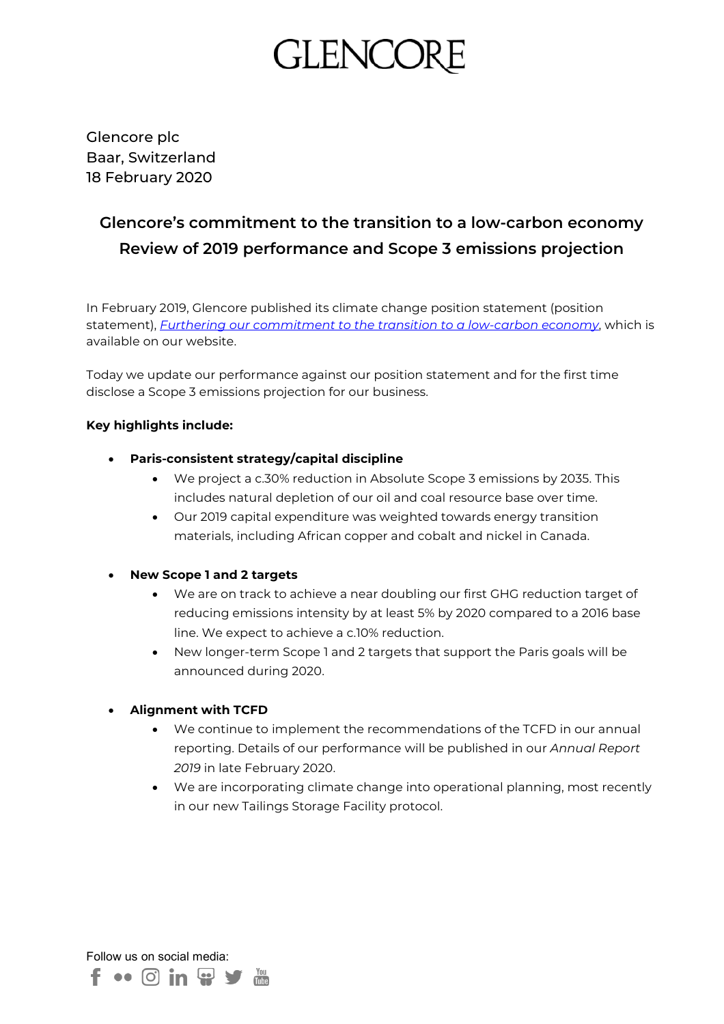# **GLENCC**

Glencore plc Baar, Switzerland 18 February 2020

# **Glencore's commitment to the transition to a low-carbon economy Review of 2019 performance and Scope 3 emissions projection**

In February 2019, Glencore published its climate change position statement (position statement), *[Furthering our commitment to the transition to a low-carbon economy](https://www.glencore.com/media-and-insights/news/Furthering-our-commitment-to-the-transition-to-a-low-carbon-economy)*, which is available on our website.

Today we update our performance against our position statement and for the first time disclose a Scope 3 emissions projection for our business.

# **Key highlights include:**

- **Paris-consistent strategy/capital discipline**
	- We project a c.30% reduction in Absolute Scope 3 emissions by 2035. This includes natural depletion of our oil and coal resource base over time.
	- Our 2019 capital expenditure was weighted towards energy transition materials, including African copper and cobalt and nickel in Canada.

# • **New Scope 1 and 2 targets**

- We are on track to achieve a near doubling our first GHG reduction target of reducing emissions intensity by at least 5% by 2020 compared to a 2016 base line. We expect to achieve a c.10% reduction.
- New longer-term Scope 1 and 2 targets that support the Paris goals will be announced during 2020.

# • **Alignment with TCFD**

- We continue to implement the recommendations of the TCFD in our annual reporting. Details of our performance will be published in our *Annual Report 2019* in late February 2020.
- We are incorporating climate change into operational planning, most recently in our new Tailings Storage Facility protocol.

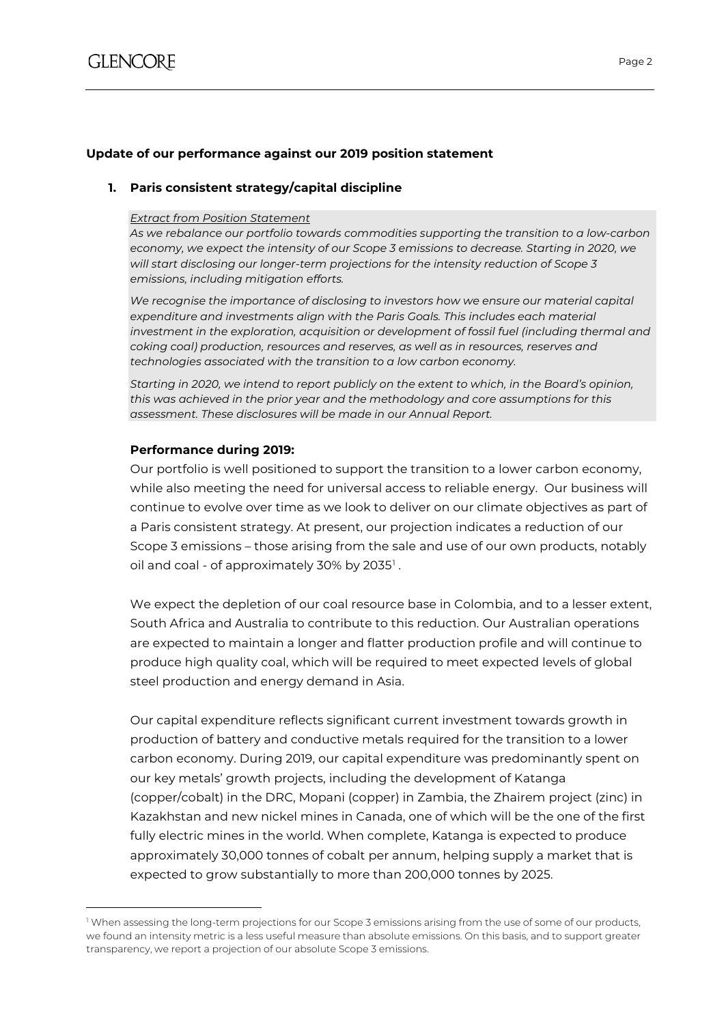$\overline{a}$ 

# **Update of our performance against our 2019 position statement**

# **1. Paris consistent strategy/capital discipline**

#### *Extract from Position Statement*

*As we rebalance our portfolio towards commodities supporting the transition to a low-carbon economy, we expect the intensity of our Scope 3 emissions to decrease. Starting in 2020, we will start disclosing our longer-term projections for the intensity reduction of Scope 3 emissions, including mitigation efforts.*

*We recognise the importance of disclosing to investors how we ensure our material capital expenditure and investments align with the Paris Goals. This includes each material investment in the exploration, acquisition or development of fossil fuel (including thermal and coking coal) production, resources and reserves, as well as in resources, reserves and technologies associated with the transition to a low carbon economy.*

*Starting in 2020, we intend to report publicly on the extent to which, in the Board's opinion, this was achieved in the prior year and the methodology and core assumptions for this assessment. These disclosures will be made in our Annual Report.*

# **Performance during 2019:**

Our portfolio is well positioned to support the transition to a lower carbon economy, while also meeting the need for universal access to reliable energy. Our business will continue to evolve over time as we look to deliver on our climate objectives as part of a Paris consistent strategy. At present, our projection indicates a reduction of our Scope 3 emissions – those arising from the sale and use of our own products, notably oil and coal - of approximately 30% by 2035<sup>[1](#page-1-0)</sup>.

We expect the depletion of our coal resource base in Colombia, and to a lesser extent, South Africa and Australia to contribute to this reduction. Our Australian operations are expected to maintain a longer and flatter production profile and will continue to produce high quality coal, which will be required to meet expected levels of global steel production and energy demand in Asia.

Our capital expenditure reflects significant current investment towards growth in production of battery and conductive metals required for the transition to a lower carbon economy. During 2019, our capital expenditure was predominantly spent on our key metals' growth projects, including the development of Katanga (copper/cobalt) in the DRC, Mopani (copper) in Zambia, the Zhairem project (zinc) in Kazakhstan and new nickel mines in Canada, one of which will be the one of the first fully electric mines in the world. When complete, Katanga is expected to produce approximately 30,000 tonnes of cobalt per annum, helping supply a market that is expected to grow substantially to more than 200,000 tonnes by 2025.

<span id="page-1-0"></span> $1$  When assessing the long-term projections for our Scope 3 emissions arising from the use of some of our products, we found an intensity metric is a less useful measure than absolute emissions. On this basis, and to support greater transparency, we report a projection of our absolute Scope 3 emissions.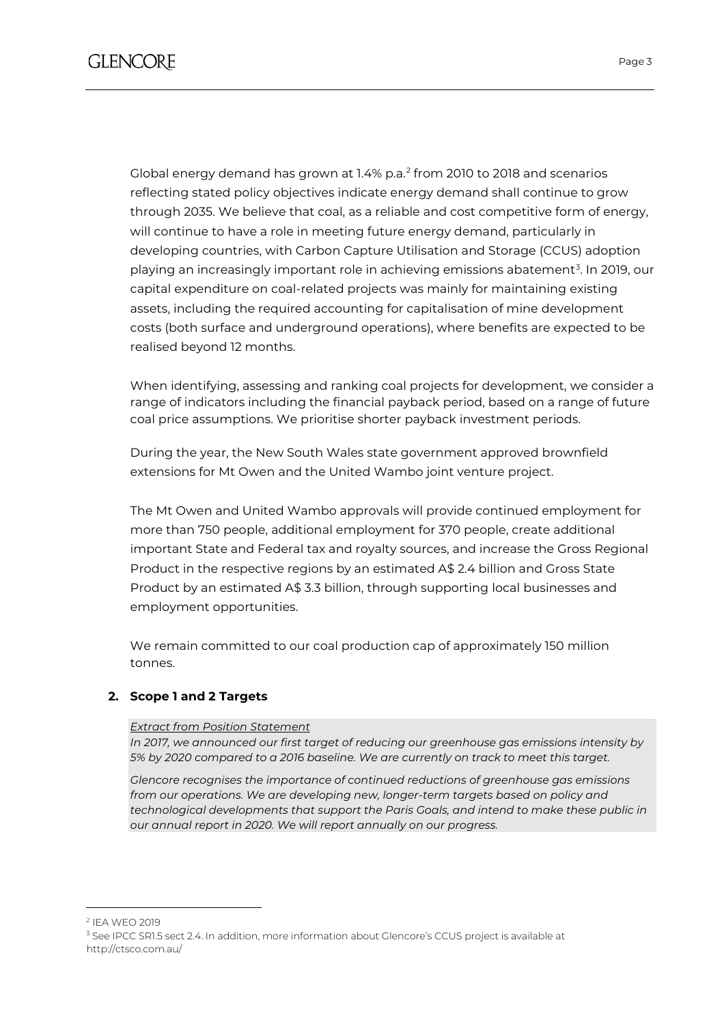Global energy demand has grown at 1.4% p.a. [2](#page-2-0) from 2010 to 2018 and scenarios reflecting stated policy objectives indicate energy demand shall continue to grow through 2035. We believe that coal, as a reliable and cost competitive form of energy, will continue to have a role in meeting future energy demand, particularly in developing countries, with Carbon Capture Utilisation and Storage (CCUS) adoption playing an increasingly important role in achieving emissions abatement<sup>[3](#page-2-1)</sup>. In 2019, our capital expenditure on coal-related projects was mainly for maintaining existing assets, including the required accounting for capitalisation of mine development costs (both surface and underground operations), where benefits are expected to be realised beyond 12 months.

When identifying, assessing and ranking coal projects for development, we consider a range of indicators including the financial payback period, based on a range of future coal price assumptions. We prioritise shorter payback investment periods.

During the year, the New South Wales state government approved brownfield extensions for Mt Owen and the United Wambo joint venture project.

The Mt Owen and United Wambo approvals will provide continued employment for more than 750 people, additional employment for 370 people, create additional important State and Federal tax and royalty sources, and increase the Gross Regional Product in the respective regions by an estimated A\$ 2.4 billion and Gross State Product by an estimated A\$ 3.3 billion, through supporting local businesses and employment opportunities.

We remain committed to our coal production cap of approximately 150 million tonnes.

# **2. Scope 1 and 2 Targets**

#### *Extract from Position Statement*

*In 2017, we announced our first target of reducing our greenhouse gas emissions intensity by 5% by 2020 compared to a 2016 baseline. We are currently on track to meet this target.*

*Glencore recognises the importance of continued reductions of greenhouse gas emissions*  from our operations. We are developing new, longer-term targets based on policy and *technological developments that support the Paris Goals, and intend to make these public in our annual report in 2020. We will report annually on our progress.*

 $\overline{a}$ 

<span id="page-2-0"></span><sup>2</sup> IEA WEO 2019

<span id="page-2-1"></span><sup>&</sup>lt;sup>3</sup> See IPCC SR1.5 sect 2.4. In addition, more information about Glencore's CCUS project is available at <http://ctsco.com.au/>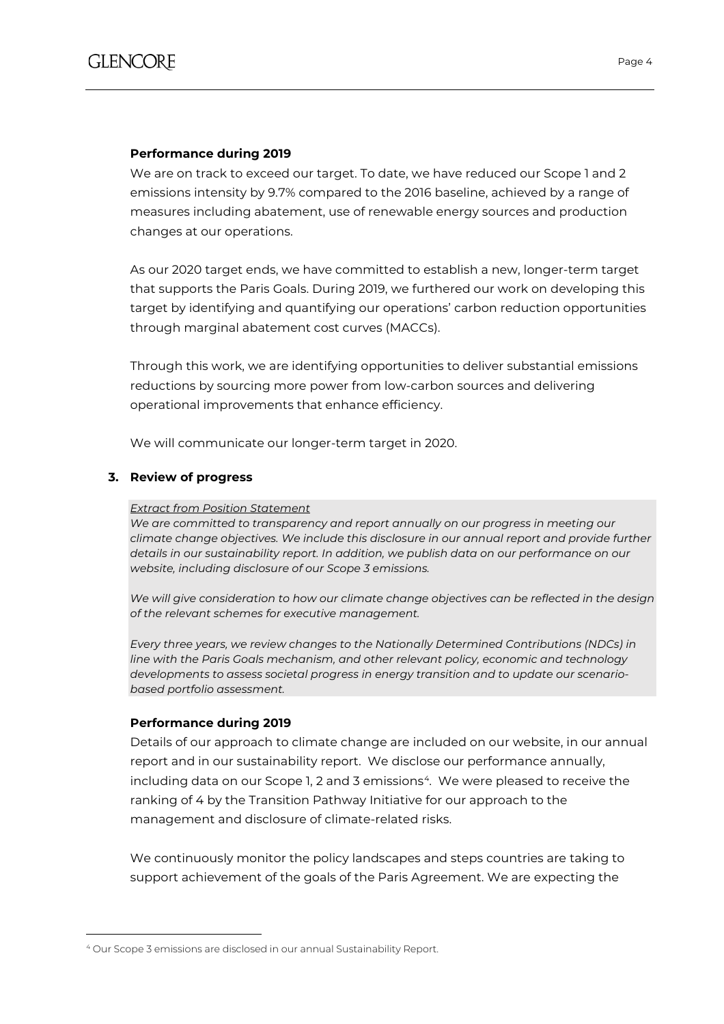# **Performance during 2019**

We are on track to exceed our target. To date, we have reduced our Scope 1 and 2 emissions intensity by 9.7% compared to the 2016 baseline, achieved by a range of measures including abatement, use of renewable energy sources and production changes at our operations.

As our 2020 target ends, we have committed to establish a new, longer-term target that supports the Paris Goals. During 2019, we furthered our work on developing this target by identifying and quantifying our operations' carbon reduction opportunities through marginal abatement cost curves (MACCs).

Through this work, we are identifying opportunities to deliver substantial emissions reductions by sourcing more power from low-carbon sources and delivering operational improvements that enhance efficiency.

We will communicate our longer-term target in 2020.

# **3. Review of progress**

#### *Extract from Position Statement*

We are committed to transparency and report annually on our progress in meeting our *climate change objectives. We include this disclosure in our annual report and provide further details in our sustainability report. In addition, we publish data on our performance on our website, including disclosure of our Scope 3 emissions.*

*We will give consideration to how our climate change objectives can be reflected in the design of the relevant schemes for executive management.*

*Every three years, we review changes to the Nationally Determined Contributions (NDCs) in line with the Paris Goals mechanism, and other relevant policy, economic and technology developments to assess societal progress in energy transition and to update our scenariobased portfolio assessment.*

#### **Performance during 2019**

 $\overline{a}$ 

Details of our approach to climate change are included on our website, in our annual report and in our sustainability report. We disclose our performance annually, including data on our Scope 1, 2 and 3 emissions<sup>[4](#page-3-0)</sup>. We were pleased to receive the ranking of 4 by the Transition Pathway Initiative for our approach to the management and disclosure of climate-related risks.

We continuously monitor the policy landscapes and steps countries are taking to support achievement of the goals of the Paris Agreement. We are expecting the

<span id="page-3-0"></span><sup>4</sup> Our Scope 3 emissions are disclosed in our annual Sustainability Report.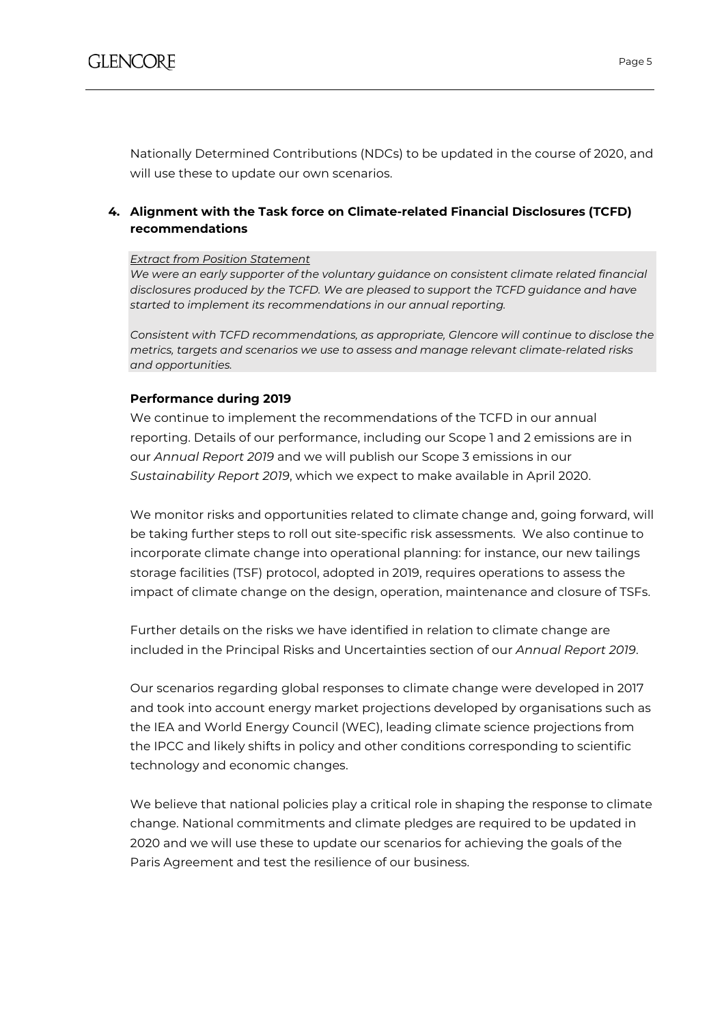Nationally Determined Contributions (NDCs) to be updated in the course of 2020, and will use these to update our own scenarios.

# **4. Alignment with the Task force on Climate-related Financial Disclosures (TCFD) recommendations**

#### *Extract from Position Statement*

*We were an early supporter of the voluntary guidance on consistent climate related financial disclosures produced by the TCFD. We are pleased to support the TCFD guidance and have started to implement its recommendations in our annual reporting.*

*Consistent with TCFD recommendations, as appropriate, Glencore will continue to disclose the metrics, targets and scenarios we use to assess and manage relevant climate-related risks and opportunities.*

# **Performance during 2019**

We continue to implement the recommendations of the TCFD in our annual reporting. Details of our performance, including our Scope 1 and 2 emissions are in our *Annual Report 2019* and we will publish our Scope 3 emissions in our *Sustainability Report 2019*, which we expect to make available in April 2020.

We monitor risks and opportunities related to climate change and, going forward, will be taking further steps to roll out site-specific risk assessments. We also continue to incorporate climate change into operational planning: for instance, our new tailings storage facilities (TSF) protocol, adopted in 2019, requires operations to assess the impact of climate change on the design, operation, maintenance and closure of TSFs.

Further details on the risks we have identified in relation to climate change are included in the Principal Risks and Uncertainties section of our *Annual Report 2019*.

Our scenarios regarding global responses to climate change were developed in 2017 and took into account energy market projections developed by organisations such as the IEA and World Energy Council (WEC), leading climate science projections from the IPCC and likely shifts in policy and other conditions corresponding to scientific technology and economic changes.

We believe that national policies play a critical role in shaping the response to climate change. National commitments and climate pledges are required to be updated in 2020 and we will use these to update our scenarios for achieving the goals of the Paris Agreement and test the resilience of our business.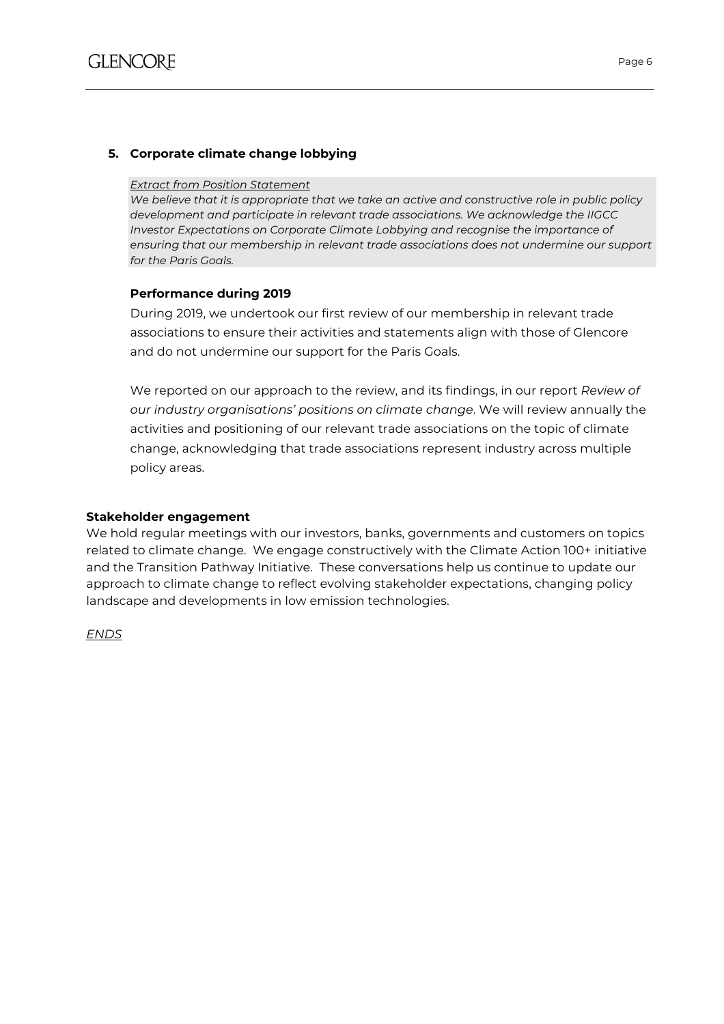# **5. Corporate climate change lobbying**

#### *Extract from Position Statement*

*We believe that it is appropriate that we take an active and constructive role in public policy development and participate in relevant trade associations. We acknowledge the IIGCC Investor Expectations on Corporate Climate Lobbying and recognise the importance of ensuring that our membership in relevant trade associations does not undermine our support for the Paris Goals.*

#### **Performance during 2019**

During 2019, we undertook our first review of our membership in relevant trade associations to ensure their activities and statements align with those of Glencore and do not undermine our support for the Paris Goals.

We reported on our approach to the review, and its findings, in our report *Review of our industry organisations' positions on climate change*. We will review annually the activities and positioning of our relevant trade associations on the topic of climate change, acknowledging that trade associations represent industry across multiple policy areas.

#### **Stakeholder engagement**

We hold regular meetings with our investors, banks, governments and customers on topics related to climate change. We engage constructively with the Climate Action 100+ initiative and the Transition Pathway Initiative. These conversations help us continue to update our approach to climate change to reflect evolving stakeholder expectations, changing policy landscape and developments in low emission technologies.

*ENDS*